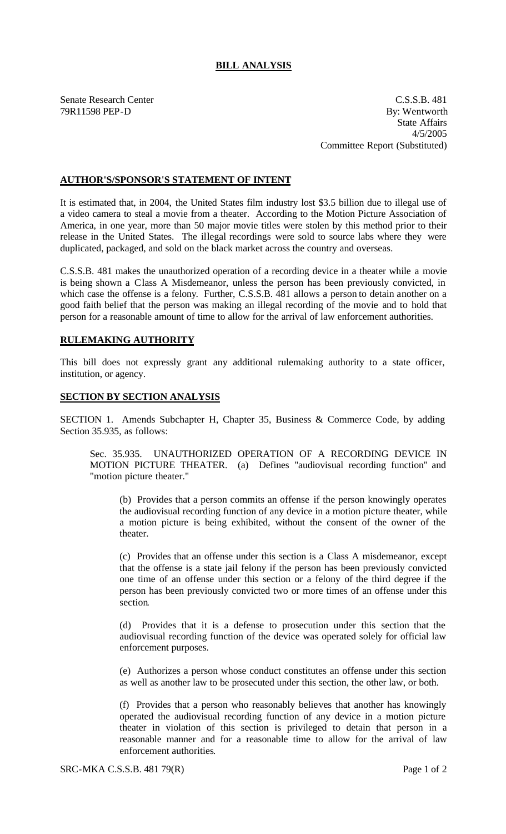## **BILL ANALYSIS**

Senate Research Center C.S.S.B. 481 79R11598 PEP-D By: Wentworth State Affairs 4/5/2005 Committee Report (Substituted)

## **AUTHOR'S/SPONSOR'S STATEMENT OF INTENT**

It is estimated that, in 2004, the United States film industry lost \$3.5 billion due to illegal use of a video camera to steal a movie from a theater. According to the Motion Picture Association of America, in one year, more than 50 major movie titles were stolen by this method prior to their release in the United States. The illegal recordings were sold to source labs where they were duplicated, packaged, and sold on the black market across the country and overseas.

C.S.S.B. 481 makes the unauthorized operation of a recording device in a theater while a movie is being shown a Class A Misdemeanor, unless the person has been previously convicted, in which case the offense is a felony. Further, C.S.S.B. 481 allows a person to detain another on a good faith belief that the person was making an illegal recording of the movie and to hold that person for a reasonable amount of time to allow for the arrival of law enforcement authorities.

## **RULEMAKING AUTHORITY**

This bill does not expressly grant any additional rulemaking authority to a state officer, institution, or agency.

## **SECTION BY SECTION ANALYSIS**

SECTION 1. Amends Subchapter H, Chapter 35, Business & Commerce Code, by adding Section 35.935, as follows:

Sec. 35.935. UNAUTHORIZED OPERATION OF A RECORDING DEVICE IN MOTION PICTURE THEATER. (a) Defines "audiovisual recording function" and "motion picture theater."

(b) Provides that a person commits an offense if the person knowingly operates the audiovisual recording function of any device in a motion picture theater, while a motion picture is being exhibited, without the consent of the owner of the theater.

(c) Provides that an offense under this section is a Class A misdemeanor, except that the offense is a state jail felony if the person has been previously convicted one time of an offense under this section or a felony of the third degree if the person has been previously convicted two or more times of an offense under this section.

(d) Provides that it is a defense to prosecution under this section that the audiovisual recording function of the device was operated solely for official law enforcement purposes.

(e) Authorizes a person whose conduct constitutes an offense under this section as well as another law to be prosecuted under this section, the other law, or both.

(f) Provides that a person who reasonably believes that another has knowingly operated the audiovisual recording function of any device in a motion picture theater in violation of this section is privileged to detain that person in a reasonable manner and for a reasonable time to allow for the arrival of law enforcement authorities.